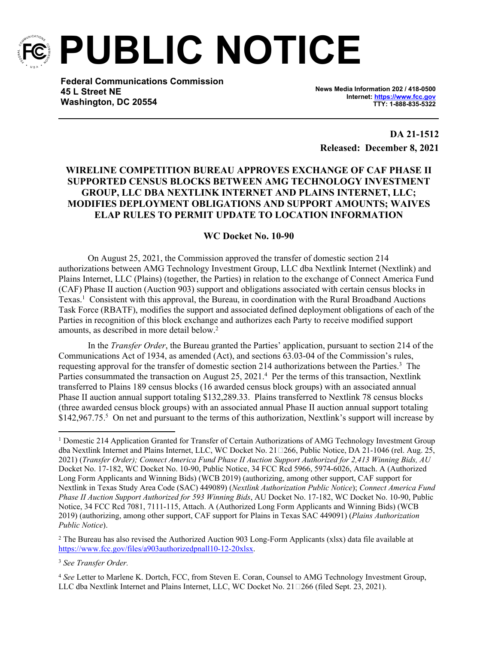

**PUBLIC NOTICE**

**Federal Communications Commission 45 L Street NE Washington, DC 20554**

**News Media Information 202 / 418-0500 Internet:<https://www.fcc.gov> TTY: 1-888-835-5322**

**DA 21-1512 Released: December 8, 2021**

## **WIRELINE COMPETITION BUREAU APPROVES EXCHANGE OF CAF PHASE II SUPPORTED CENSUS BLOCKS BETWEEN AMG TECHNOLOGY INVESTMENT GROUP, LLC DBA NEXTLINK INTERNET AND PLAINS INTERNET, LLC; MODIFIES DEPLOYMENT OBLIGATIONS AND SUPPORT AMOUNTS; WAIVES ELAP RULES TO PERMIT UPDATE TO LOCATION INFORMATION**

## **WC Docket No. 10-90**

On August 25, 2021, the Commission approved the transfer of domestic section 214 authorizations between AMG Technology Investment Group, LLC dba Nextlink Internet (Nextlink) and Plains Internet, LLC (Plains) (together, the Parties) in relation to the exchange of Connect America Fund (CAF) Phase II auction (Auction 903) support and obligations associated with certain census blocks in Texas.<sup>1</sup> Consistent with this approval, the Bureau, in coordination with the Rural Broadband Auctions Task Force (RBATF), modifies the support and associated defined deployment obligations of each of the Parties in recognition of this block exchange and authorizes each Party to receive modified support amounts, as described in more detail below.<sup>2</sup>

In the *Transfer Order*, the Bureau granted the Parties' application, pursuant to section 214 of the Communications Act of 1934, as amended (Act), and sections 63.03-04 of the Commission's rules, requesting approval for the transfer of domestic section 214 authorizations between the Parties.<sup>3</sup> The Parties consummated the transaction on August 25, 2021.<sup>4</sup> Per the terms of this transaction, Nextlink transferred to Plains 189 census blocks (16 awarded census block groups) with an associated annual Phase II auction annual support totaling \$132,289.33. Plains transferred to Nextlink 78 census blocks (three awarded census block groups) with an associated annual Phase II auction annual support totaling \$142,967.75.<sup>5</sup> On net and pursuant to the terms of this authorization, Nextlink's support will increase by

2 The Bureau has also revised the Authorized Auction 903 Long-Form Applicants (xlsx) data file available at <https://www.fcc.gov/files/a903authorizedpnall10-12-20xlsx>.

<sup>&</sup>lt;sup>1</sup> Domestic 214 Application Granted for Transfer of Certain Authorizations of AMG Technology Investment Group dba Nextlink Internet and Plains Internet, LLC, WC Docket No. 21□266, Public Notice, DA 21-1046 (rel. Aug. 25, 2021) (*Transfer Order); Connect America Fund Phase II Auction Support Authorized for 2,413 Winning Bids, AU*  Docket No. 17-182, WC Docket No. 10-90, Public Notice, 34 FCC Rcd 5966, 5974-6026, Attach. A (Authorized Long Form Applicants and Winning Bids) (WCB 2019) (authorizing, among other support, CAF support for Nextlink in Texas Study Area Code (SAC) 449089) (*Nextlink Authorization Public Notice*); *Connect America Fund Phase II Auction Support Authorized for 593 Winning Bids*, AU Docket No. 17-182, WC Docket No. 10-90, Public Notice, 34 FCC Rcd 7081, 7111-115, Attach. A (Authorized Long Form Applicants and Winning Bids) (WCB 2019) (authorizing, among other support, CAF support for Plains in Texas SAC 449091) (*Plains Authorization Public Notice*).

<sup>3</sup> *See Transfer Order.*

<sup>4</sup> *See* Letter to Marlene K. Dortch, FCC, from Steven E. Coran, Counsel to AMG Technology Investment Group, LLC dba Nextlink Internet and Plains Internet, LLC, WC Docket No. 21□266 (filed Sept. 23, 2021).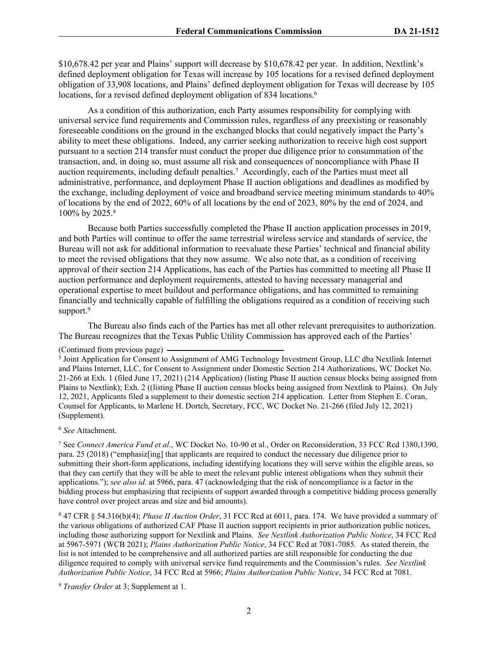\$10,678.42 per year and Plains' support will decrease by \$10,678.42 per year. In addition, Nextlink's defined deployment obligation for Texas will increase by 105 locations for a revised defined deployment obligation of 33,908 locations, and Plains' defined deployment obligation for Texas will decrease by 105 locations, for a revised defined deployment obligation of 834 locations.<sup>6</sup>

As a condition of this authorization, each Party assumes responsibility for complying with universal service fund requirements and Commission rules, regardless of any preexisting or reasonably foreseeable conditions on the ground in the exchanged blocks that could negatively impact the Party's ability to meet these obligations. Indeed, any carrier seeking authorization to receive high cost support pursuant to a section 214 transfer must conduct the proper due diligence prior to consummation of the transaction, and, in doing so, must assume all risk and consequences of noncompliance with Phase II auction requirements, including default penalties.<sup>7</sup> Accordingly, each of the Parties must meet all administrative, performance, and deployment Phase II auction obligations and deadlines as modified by the exchange, including deployment of voice and broadband service meeting minimum standards to 40% of locations by the end of 2022, 60% of all locations by the end of 2023, 80% by the end of 2024, and 100% by 2025.<sup>8</sup>

Because both Parties successfully completed the Phase II auction application processes in 2019, and both Parties will continue to offer the same terrestrial wireless service and standards of service, the Bureau will not ask for additional information to reevaluate these Parties' technical and financial ability to meet the revised obligations that they now assume. We also note that, as a condition of receiving approval of their section 214 Applications, has each of the Parties has committed to meeting all Phase II auction performance and deployment requirements, attested to having necessary managerial and operational expertise to meet buildout and performance obligations, and has committed to remaining financially and technically capable of fulfilling the obligations required as a condition of receiving such support.<sup>9</sup>

The Bureau also finds each of the Parties has met all other relevant prerequisites to authorization. The Bureau recognizes that the Texas Public Utility Commission has approved each of the Parties'

<sup>5</sup> Joint Application for Consent to Assignment of AMG Technology Investment Group, LLC dba Nextlink Internet and Plains Internet, LLC, for Consent to Assignment under Domestic Section 214 Authorizations, WC Docket No. 21-266 at Exh. 1 (filed June 17, 2021) (214 Application) (listing Phase II auction census blocks being assigned from Plains to Nextlink); Exh. 2 ((listing Phase II auction census blocks being assigned from Nextlink to Plains). On July 12, 2021, Applicants filed a supplement to their domestic section 214 application. Letter from Stephen E. Coran, Counsel for Applicants, to Marlene H. Dortch, Secretary, FCC, WC Docket No. 21-266 (filed July 12, 2021) (Supplement).

<sup>6</sup> *See* Attachment.

7 See *Connect America Fund et al*., WC Docket No. 10-90 et al., Order on Reconsideration, 33 FCC Rcd 1380,1390, para. 25 (2018) ("emphasiz[ing] that applicants are required to conduct the necessary due diligence prior to submitting their short-form applications, including identifying locations they will serve within the eligible areas, so that they can certify that they will be able to meet the relevant public interest obligations when they submit their applications."); *see also id*. at 5966, para. 47 (acknowledging that the risk of noncompliance is a factor in the bidding process but emphasizing that recipients of support awarded through a competitive bidding process generally have control over project areas and size and bid amounts).

8 47 CFR § 54.316(b)(4); *Phase II Auction Order*, 31 FCC Rcd at 6011, para. 174. We have provided a summary of the various obligations of authorized CAF Phase II auction support recipients in prior authorization public notices, including those authorizing support for Nextlink and Plains. *See Nextlink Authorization Public Notice*, 34 FCC Rcd at 5967-5971 (WCB 2021); *Plains Authorization Public Notice*, 34 FCC Rcd at 7081-7085. As stated therein, the list is not intended to be comprehensive and all authorized parties are still responsible for conducting the due diligence required to comply with universal service fund requirements and the Commission's rules. *See Nextlink Authorization Public Notice*, 34 FCC Rcd at 5966; *Plains Authorization Public Notice*, 34 FCC Rcd at 7081.

<sup>9</sup> *Transfer Order* at 3; Supplement at 1.

<sup>(</sup>Continued from previous page)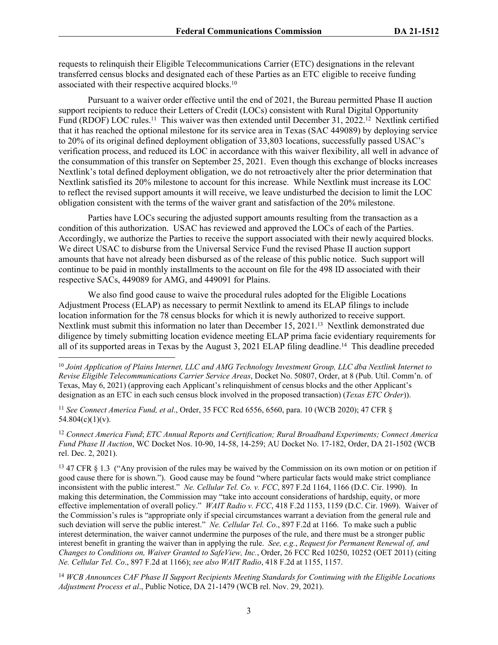requests to relinquish their Eligible Telecommunications Carrier (ETC) designations in the relevant transferred census blocks and designated each of these Parties as an ETC eligible to receive funding associated with their respective acquired blocks.<sup>10</sup>

Pursuant to a waiver order effective until the end of 2021, the Bureau permitted Phase II auction support recipients to reduce their Letters of Credit (LOCs) consistent with Rural Digital Opportunity Fund (RDOF) LOC rules.<sup>11</sup> This waiver was then extended until December 31, 2022.<sup>12</sup> Nextlink certified that it has reached the optional milestone for its service area in Texas (SAC 449089) by deploying service to 20% of its original defined deployment obligation of 33,803 locations, successfully passed USAC's verification process, and reduced its LOC in accordance with this waiver flexibility, all well in advance of the consummation of this transfer on September 25, 2021. Even though this exchange of blocks increases Nextlink's total defined deployment obligation, we do not retroactively alter the prior determination that Nextlink satisfied its 20% milestone to account for this increase. While Nextlink must increase its LOC to reflect the revised support amounts it will receive, we leave undisturbed the decision to limit the LOC obligation consistent with the terms of the waiver grant and satisfaction of the 20% milestone.

Parties have LOCs securing the adjusted support amounts resulting from the transaction as a condition of this authorization. USAC has reviewed and approved the LOCs of each of the Parties. Accordingly, we authorize the Parties to receive the support associated with their newly acquired blocks. We direct USAC to disburse from the Universal Service Fund the revised Phase II auction support amounts that have not already been disbursed as of the release of this public notice. Such support will continue to be paid in monthly installments to the account on file for the 498 ID associated with their respective SACs, 449089 for AMG, and 449091 for Plains.

We also find good cause to waive the procedural rules adopted for the Eligible Locations Adjustment Process (ELAP) as necessary to permit Nextlink to amend its ELAP filings to include location information for the 78 census blocks for which it is newly authorized to receive support. Nextlink must submit this information no later than December 15, 2021.<sup>13</sup> Nextlink demonstrated due diligence by timely submitting location evidence meeting ELAP prima facie evidentiary requirements for all of its supported areas in Texas by the August 3, 2021 ELAP filing deadline.<sup>14</sup> This deadline preceded

<sup>11</sup> *See Connect America Fund, et al*., Order, 35 FCC Rcd 6556, 6560, para. 10 (WCB 2020); 47 CFR §  $54.804(c)(1)(v)$ .

<sup>12</sup> *Connect America Fund*; *ETC Annual Reports and Certification; Rural Broadband Experiments; Connect America Fund Phase II Auction*, WC Docket Nos. 10-90, 14-58, 14-259; AU Docket No. 17-182, Order, DA 21-1502 (WCB rel. Dec. 2, 2021).

<sup>13</sup> 47 CFR § 1.3 ("Any provision of the rules may be waived by the Commission on its own motion or on petition if good cause there for is shown."). Good cause may be found "where particular facts would make strict compliance inconsistent with the public interest." *Ne. Cellular Tel. Co. v. FCC*, 897 F.2d 1164, 1166 (D.C. Cir. 1990). In making this determination, the Commission may "take into account considerations of hardship, equity, or more effective implementation of overall policy." *WAIT Radio v. FCC*, 418 F.2d 1153, 1159 (D.C. Cir. 1969). Waiver of the Commission's rules is "appropriate only if special circumstances warrant a deviation from the general rule and such deviation will serve the public interest." *Ne. Cellular Tel. Co*., 897 F.2d at 1166. To make such a public interest determination, the waiver cannot undermine the purposes of the rule, and there must be a stronger public interest benefit in granting the waiver than in applying the rule. *See, e.g.*, *Request for Permanent Renewal of, and Changes to Conditions on, Waiver Granted to SafeView, Inc.*, Order, 26 FCC Rcd 10250, 10252 (OET 2011) (citing *Ne. Cellular Tel. Co*., 897 F.2d at 1166); *see also WAIT Radio*, 418 F.2d at 1155, 1157.

<sup>14</sup> *WCB Announces CAF Phase II Support Recipients Meeting Standards for Continuing with the Eligible Locations Adjustment Process et al*., Public Notice, DA 21-1479 (WCB rel. Nov. 29, 2021).

<sup>10</sup> *Joint Application of Plains Internet, LLC and AMG Technology Investment Group, LLC dba Nextlink Internet to Revise Eligible Telecommunications Carrier Service Areas*, Docket No. 50807, Order, at 8 (Pub. Util. Comm'n. of Texas, May 6, 2021) (approving each Applicant's relinquishment of census blocks and the other Applicant's designation as an ETC in each such census block involved in the proposed transaction) (*Texas ETC Order*)).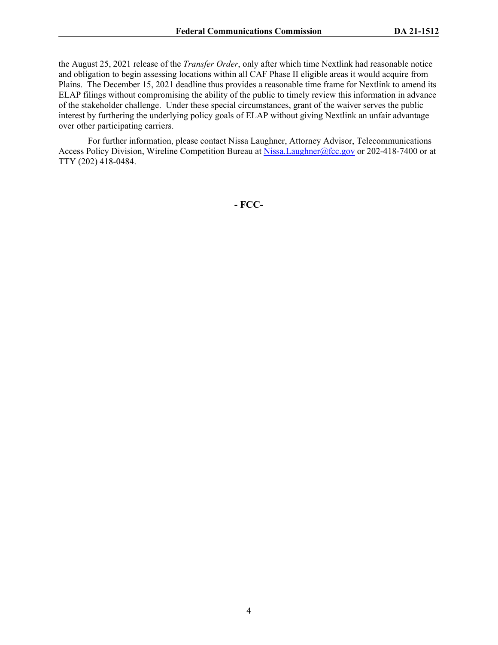the August 25, 2021 release of the *Transfer Order*, only after which time Nextlink had reasonable notice and obligation to begin assessing locations within all CAF Phase II eligible areas it would acquire from Plains. The December 15, 2021 deadline thus provides a reasonable time frame for Nextlink to amend its ELAP filings without compromising the ability of the public to timely review this information in advance of the stakeholder challenge. Under these special circumstances, grant of the waiver serves the public interest by furthering the underlying policy goals of ELAP without giving Nextlink an unfair advantage over other participating carriers.

For further information, please contact Nissa Laughner, Attorney Advisor, Telecommunications Access Policy Division, Wireline Competition Bureau at [Nissa.Laughner@fcc.gov](mailto:Nissa.Laughner@fcc.gov) or 202-418-7400 or at TTY (202) 418-0484.

**- FCC-**